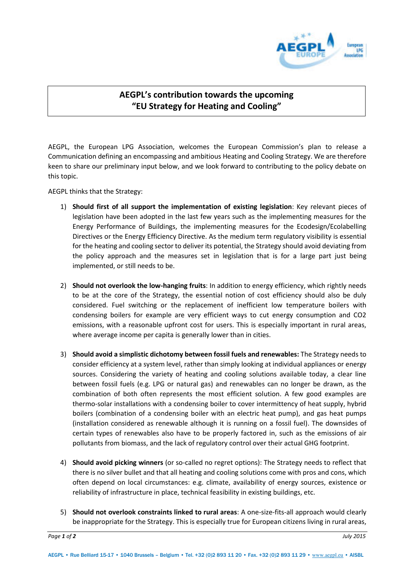

## **AEGPL's contribution towards the upcoming "EU Strategy for Heating and Cooling"**

AEGPL, the European LPG Association, welcomes the European Commission's plan to release a Communication defining an encompassing and ambitious Heating and Cooling Strategy. We are therefore keen to share our preliminary input below, and we look forward to contributing to the policy debate on this topic.

AEGPL thinks that the Strategy:

- 1) **Should first of all support the implementation of existing legislation**: Key relevant pieces of legislation have been adopted in the last few years such as the implementing measures for the Energy Performance of Buildings, the implementing measures for the Ecodesign/Ecolabelling Directives or the Energy Efficiency Directive. As the medium term regulatory visibility is essential for the heating and cooling sector to deliver its potential, the Strategy should avoid deviating from the policy approach and the measures set in legislation that is for a large part just being implemented, or still needs to be.
- 2) **Should not overlook the low-hanging fruits**: In addition to energy efficiency, which rightly needs to be at the core of the Strategy, the essential notion of cost efficiency should also be duly considered. Fuel switching or the replacement of inefficient low temperature boilers with condensing boilers for example are very efficient ways to cut energy consumption and CO2 emissions, with a reasonable upfront cost for users. This is especially important in rural areas, where average income per capita is generally lower than in cities.
- 3) **Should avoid a simplistic dichotomy between fossil fuels and renewables:** The Strategy needs to consider efficiency at a system level, rather than simply looking at individual appliances or energy sources. Considering the variety of heating and cooling solutions available today, a clear line between fossil fuels (e.g. LPG or natural gas) and renewables can no longer be drawn, as the combination of both often represents the most efficient solution. A few good examples are thermo-solar installations with a condensing boiler to cover intermittency of heat supply, hybrid boilers (combination of a condensing boiler with an electric heat pump), and gas heat pumps (installation considered as renewable although it is running on a fossil fuel). The downsides of certain types of renewables also have to be properly factored in, such as the emissions of air pollutants from biomass, and the lack of regulatory control over their actual GHG footprint.
- 4) **Should avoid picking winners** (or so-called no regret options): The Strategy needs to reflect that there is no silver bullet and that all heating and cooling solutions come with pros and cons, which often depend on local circumstances: e.g. climate, availability of energy sources, existence or reliability of infrastructure in place, technical feasibility in existing buildings, etc.
- 5) **Should not overlook constraints linked to rural areas**: A one-size-fits-all approach would clearly be inappropriate for the Strategy. This is especially true for European citizens living in rural areas,

*Page 1 of 2 July 2015*